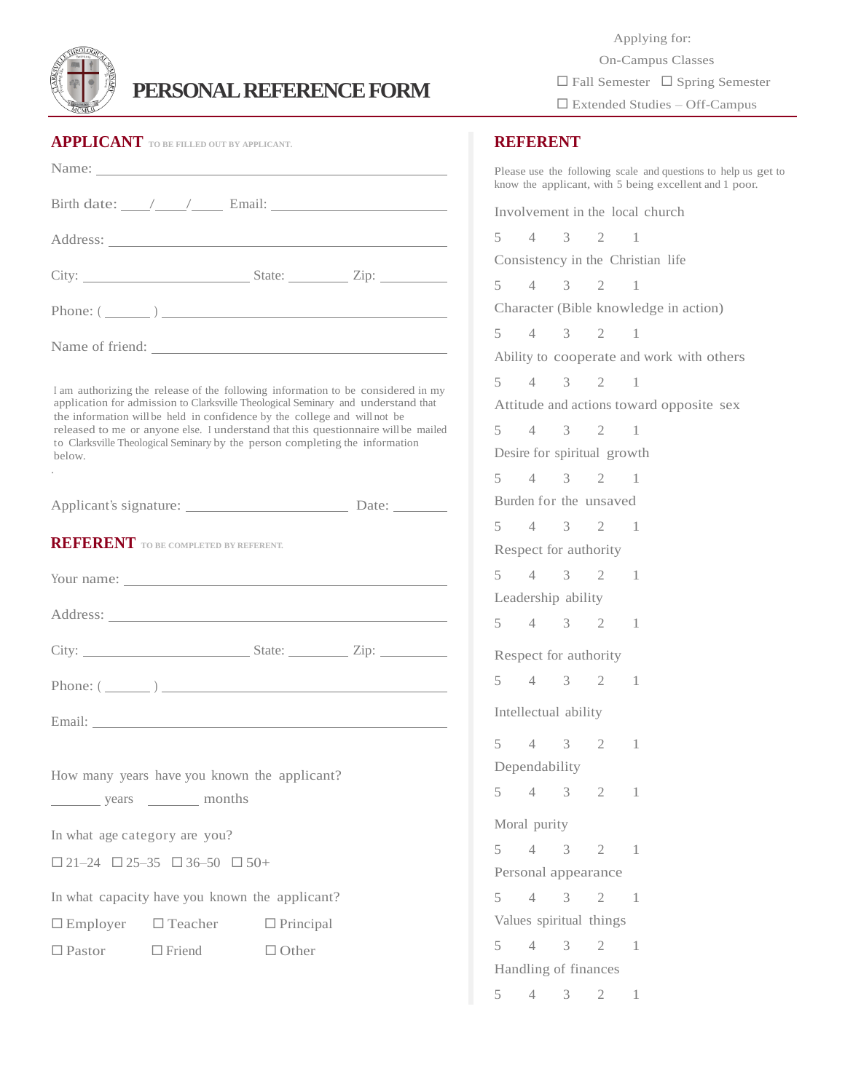

## **PERSONAL REFERENCE FORM**

| <b>APPLICANT</b> TO BE FILLED OUT BY APPLICANT.                                                                                                                                                                                                                                                                                                                                                                                    |                                                 |  |  |
|------------------------------------------------------------------------------------------------------------------------------------------------------------------------------------------------------------------------------------------------------------------------------------------------------------------------------------------------------------------------------------------------------------------------------------|-------------------------------------------------|--|--|
|                                                                                                                                                                                                                                                                                                                                                                                                                                    |                                                 |  |  |
| Birth date: $\angle$ $\angle$ $\angle$ Email:                                                                                                                                                                                                                                                                                                                                                                                      |                                                 |  |  |
|                                                                                                                                                                                                                                                                                                                                                                                                                                    |                                                 |  |  |
|                                                                                                                                                                                                                                                                                                                                                                                                                                    |                                                 |  |  |
|                                                                                                                                                                                                                                                                                                                                                                                                                                    | Phone: $(\_\_)$                                 |  |  |
|                                                                                                                                                                                                                                                                                                                                                                                                                                    | Name of friend:                                 |  |  |
| I am authorizing the release of the following information to be considered in my<br>application for admission to Clarksville Theological Seminary and understand that<br>the information will be held in confidence by the college and will not be<br>released to me or anyone else. I understand that this questionnaire will be mailed<br>to Clarksville Theological Seminary by the person completing the information<br>below. |                                                 |  |  |
|                                                                                                                                                                                                                                                                                                                                                                                                                                    |                                                 |  |  |
| <b>REFERENT</b> TO BE COMPLETED BY REFERENT.                                                                                                                                                                                                                                                                                                                                                                                       |                                                 |  |  |
|                                                                                                                                                                                                                                                                                                                                                                                                                                    |                                                 |  |  |
| Phone: $(\_\_)$                                                                                                                                                                                                                                                                                                                                                                                                                    |                                                 |  |  |
|                                                                                                                                                                                                                                                                                                                                                                                                                                    |                                                 |  |  |
| How many years have you known the applicant?<br>years __________ months                                                                                                                                                                                                                                                                                                                                                            |                                                 |  |  |
| In what age category are you?                                                                                                                                                                                                                                                                                                                                                                                                      |                                                 |  |  |
| $\Box$ 21-24 $\Box$ 25-35 $\Box$ 36-50 $\Box$ 50+                                                                                                                                                                                                                                                                                                                                                                                  |                                                 |  |  |
| In what capacity have you known the applicant?                                                                                                                                                                                                                                                                                                                                                                                     |                                                 |  |  |
|                                                                                                                                                                                                                                                                                                                                                                                                                                    | $\Box$ Employer $\Box$ Teacher $\Box$ Principal |  |  |
|                                                                                                                                                                                                                                                                                                                                                                                                                                    | $\Box$ Pastor $\Box$ Friend $\Box$ Other        |  |  |
|                                                                                                                                                                                                                                                                                                                                                                                                                                    |                                                 |  |  |

 Applying for: On-Campus Classes  $\Box$  Fall Semester  $\Box$  Spring Semester Extended Studies – Off-Campus

## **REFERENT**

Please use the following scale and questions to help us get to know the applicant, with 5 being excellent and 1 poor. Involvement in the local church 5 4 3 2 1 Consistency in the Christian life 5 4 3 2 1 Character (Bible knowledge in action) 5 4 3 2 1 Ability to cooperate and work with others 5 4 3 2 1 Attitude and actions toward opposite sex 5 4 3 2 1 Desire for spiritual growth 5 4 3 2 1 Burden for the unsaved 5 4 3 2 1 Respect for authority 5 4 3 2 1 Leadership ability 5 4 3 2 1 Respect for authority 5 4 3 2 1 Intellectual ability 5 4 3 2 1 Dependability 5 4 3 2 1 Moral purity 5 4 3 2 1 Personal appearance 5 4 3 2 1 Values spiritual things 5 4 3 2 1 Handling of finances 5 4 3 2 1